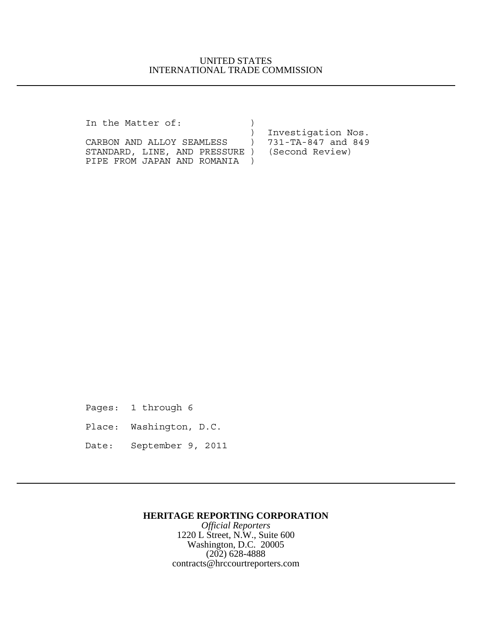## UNITED STATES INTERNATIONAL TRADE COMMISSION

In the Matter of:  $)$ 

CARBON AND ALLOY SEAMLESS ) STANDARD, LINE, AND PRESSURE ) (Second Review) PIPE FROM JAPAN AND ROMANIA )

) Investigation Nos.<br>
) 731-TA-847 and 849

Pages: 1 through 6

Place: Washington, D.C.

Date: September 9, 2011

### **HERITAGE REPORTING CORPORATION**

*Official Reporters* 1220 L Street, N.W., Suite 600 Washington, D.C. 20005 (202) 628-4888 contracts@hrccourtreporters.com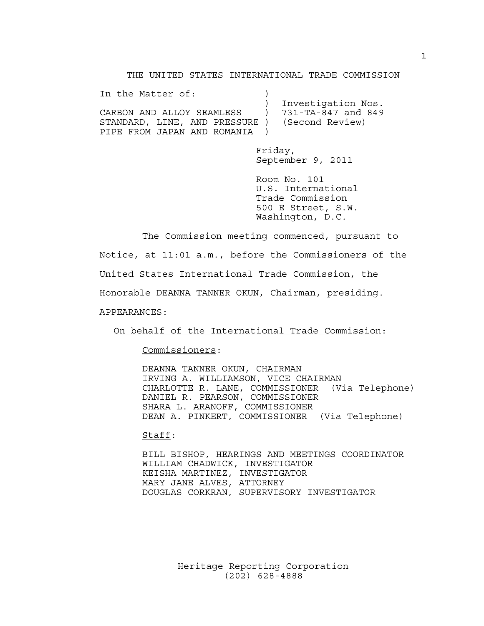THE UNITED STATES INTERNATIONAL TRADE COMMISSION

| In the Matter of:                              |                      |
|------------------------------------------------|----------------------|
|                                                | ) Investigation Nos. |
| CARBON AND ALLOY SEAMLESS      )               | 731-TA-847 and 849   |
| STANDARD, LINE, AND PRESSURE ) (Second Review) |                      |
| PIPE FROM JAPAN AND ROMANIA                    |                      |

Friday, September 9, 2011

Room No. 101 U.S. International Trade Commission 500 E Street, S.W. Washington, D.C.

The Commission meeting commenced, pursuant to Notice, at 11:01 a.m., before the Commissioners of the United States International Trade Commission, the Honorable DEANNA TANNER OKUN, Chairman, presiding. APPEARANCES:

On behalf of the International Trade Commission:

Commissioners:

DEANNA TANNER OKUN, CHAIRMAN IRVING A. WILLIAMSON, VICE CHAIRMAN CHARLOTTE R. LANE, COMMISSIONER (Via Telephone) DANIEL R. PEARSON, COMMISSIONER SHARA L. ARANOFF, COMMISSIONER DEAN A. PINKERT, COMMISSIONER (Via Telephone)

Staff:

BILL BISHOP, HEARINGS AND MEETINGS COORDINATOR WILLIAM CHADWICK, INVESTIGATOR KEISHA MARTINEZ, INVESTIGATOR MARY JANE ALVES, ATTORNEY DOUGLAS CORKRAN, SUPERVISORY INVESTIGATOR

> Heritage Reporting Corporation (202) 628-4888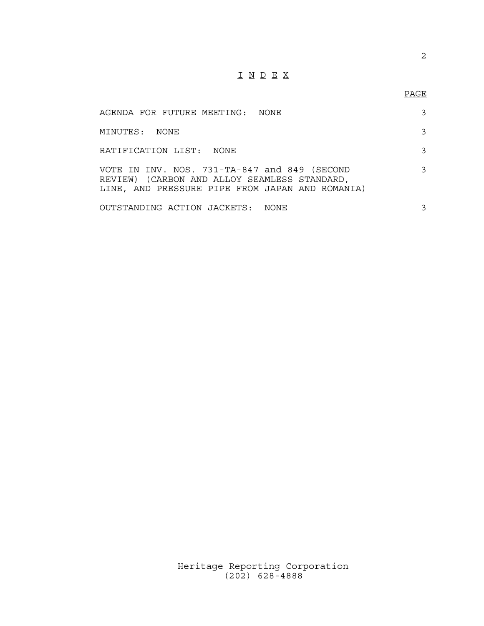# I N D E X

## PAGE

| AGENDA FOR FUTURE MEETING: NONE                                                                                                                 | 3 |
|-------------------------------------------------------------------------------------------------------------------------------------------------|---|
| MINUTES: NONE                                                                                                                                   | 3 |
| RATIFICATION LIST: NONE                                                                                                                         | 3 |
| VOTE IN INV. NOS. 731-TA-847 and 849 (SECOND<br>REVIEW) (CARBON AND ALLOY SEAMLESS STANDARD,<br>LINE, AND PRESSURE PIPE FROM JAPAN AND ROMANIA) | 3 |
| OUTSTANDING ACTION JACKETS: NONE                                                                                                                | 3 |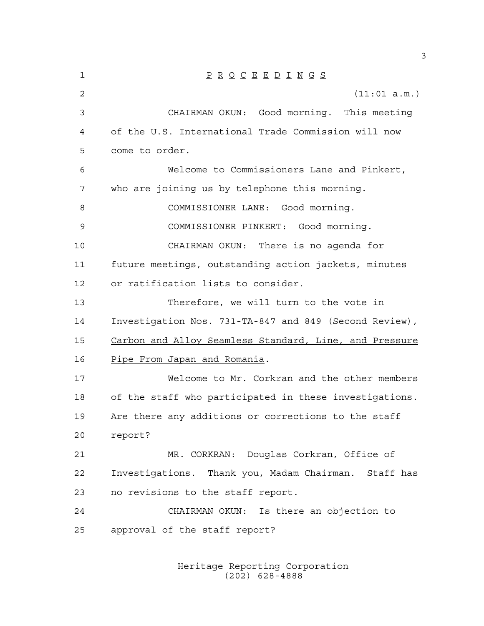| 1  | $\underline{P} \underline{R} \underline{O} \underline{C} \underline{E} \underline{E} \underline{D} \underline{I} \underline{N} \underline{G} \underline{S}$ |
|----|-------------------------------------------------------------------------------------------------------------------------------------------------------------|
| 2  | (11:01 a.m.)                                                                                                                                                |
| 3  | CHAIRMAN OKUN: Good morning. This meeting                                                                                                                   |
| 4  | of the U.S. International Trade Commission will now                                                                                                         |
| 5  | come to order.                                                                                                                                              |
| 6  | Welcome to Commissioners Lane and Pinkert,                                                                                                                  |
| 7  | who are joining us by telephone this morning.                                                                                                               |
| 8  | COMMISSIONER LANE: Good morning.                                                                                                                            |
| 9  | COMMISSIONER PINKERT: Good morning.                                                                                                                         |
| 10 | CHAIRMAN OKUN: There is no agenda for                                                                                                                       |
| 11 | future meetings, outstanding action jackets, minutes                                                                                                        |
| 12 | or ratification lists to consider.                                                                                                                          |
| 13 | Therefore, we will turn to the vote in                                                                                                                      |
| 14 | Investigation Nos. 731-TA-847 and 849 (Second Review),                                                                                                      |
| 15 | Carbon and Alloy Seamless Standard, Line, and Pressure                                                                                                      |
| 16 | <u>Pipe From Japan and Romania</u> .                                                                                                                        |
| 17 | Welcome to Mr. Corkran and the other members                                                                                                                |
| 18 | of the staff who participated in these investigations.                                                                                                      |
| 19 | Are there any additions or corrections to the staff                                                                                                         |
| 20 | report?                                                                                                                                                     |
| 21 | MR. CORKRAN: Douglas Corkran, Office of                                                                                                                     |
| 22 | Investigations. Thank you, Madam Chairman. Staff has                                                                                                        |
| 23 | no revisions to the staff report.                                                                                                                           |
| 24 | CHAIRMAN OKUN: Is there an objection to                                                                                                                     |
| 25 | approval of the staff report?                                                                                                                               |
|    |                                                                                                                                                             |

Heritage Reporting Corporation (202) 628-4888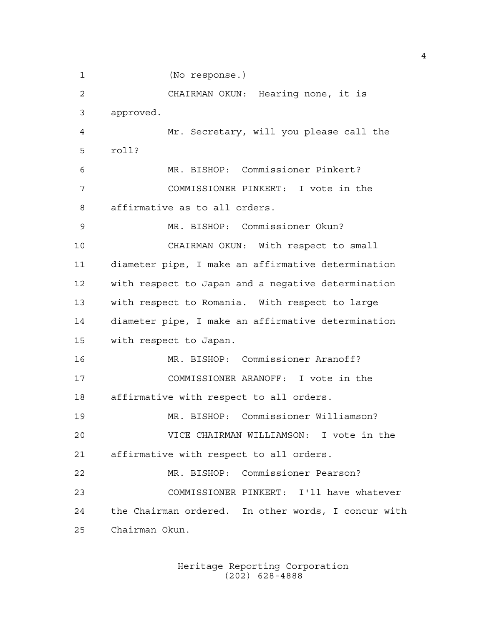(No response.) CHAIRMAN OKUN: Hearing none, it is approved. Mr. Secretary, will you please call the roll? MR. BISHOP: Commissioner Pinkert? COMMISSIONER PINKERT: I vote in the affirmative as to all orders. MR. BISHOP: Commissioner Okun? CHAIRMAN OKUN: With respect to small diameter pipe, I make an affirmative determination with respect to Japan and a negative determination with respect to Romania. With respect to large diameter pipe, I make an affirmative determination with respect to Japan. MR. BISHOP: Commissioner Aranoff? COMMISSIONER ARANOFF: I vote in the affirmative with respect to all orders. MR. BISHOP: Commissioner Williamson? VICE CHAIRMAN WILLIAMSON: I vote in the affirmative with respect to all orders. MR. BISHOP: Commissioner Pearson? COMMISSIONER PINKERT: I'll have whatever the Chairman ordered. In other words, I concur with Chairman Okun.

> Heritage Reporting Corporation (202) 628-4888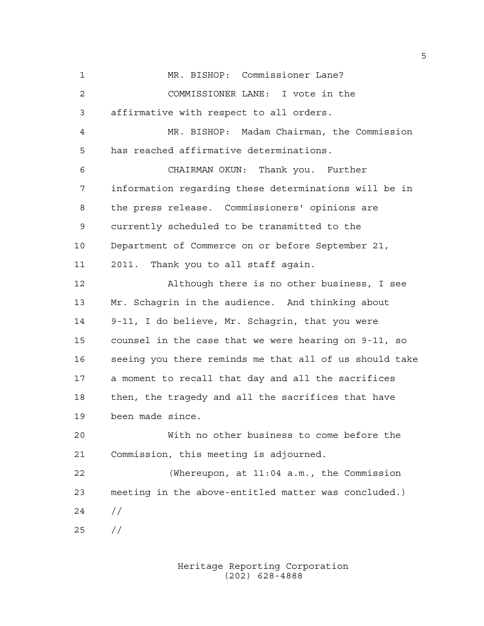MR. BISHOP: Commissioner Lane? COMMISSIONER LANE: I vote in the affirmative with respect to all orders. MR. BISHOP: Madam Chairman, the Commission has reached affirmative determinations. CHAIRMAN OKUN: Thank you. Further information regarding these determinations will be in the press release. Commissioners' opinions are currently scheduled to be transmitted to the Department of Commerce on or before September 21, 2011. Thank you to all staff again. Although there is no other business, I see Mr. Schagrin in the audience. And thinking about 9-11, I do believe, Mr. Schagrin, that you were counsel in the case that we were hearing on 9-11, so seeing you there reminds me that all of us should take a moment to recall that day and all the sacrifices then, the tragedy and all the sacrifices that have been made since. With no other business to come before the Commission, this meeting is adjourned. (Whereupon, at 11:04 a.m., the Commission meeting in the above-entitled matter was concluded.) // //

> Heritage Reporting Corporation (202) 628-4888